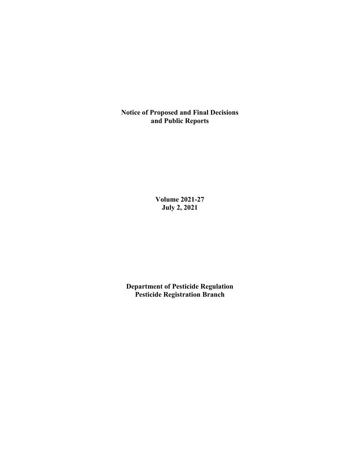**Notice of Proposed and Final Decisions and Public Reports**

> **Volume 2021-27 July 2, 2021**

**Department of Pesticide Regulation Pesticide Registration Branch**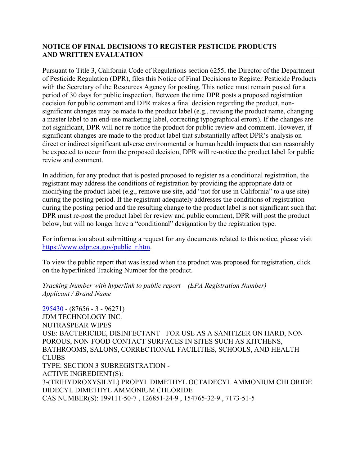# **NOTICE OF FINAL DECISIONS TO REGISTER PESTICIDE PRODUCTS AND WRITTEN EVALUATION**

Pursuant to Title 3, California Code of Regulations section 6255, the Director of the Department of Pesticide Regulation (DPR), files this Notice of Final Decisions to Register Pesticide Products with the Secretary of the Resources Agency for posting. This notice must remain posted for a period of 30 days for public inspection. Between the time DPR posts a proposed registration decision for public comment and DPR makes a final decision regarding the product, nonsignificant changes may be made to the product label (e.g., revising the product name, changing a master label to an end-use marketing label, correcting typographical errors). If the changes are not significant, DPR will not re-notice the product for public review and comment. However, if significant changes are made to the product label that substantially affect DPR's analysis on direct or indirect significant adverse environmental or human health impacts that can reasonably be expected to occur from the proposed decision, DPR will re-notice the product label for public review and comment.

In addition, for any product that is posted proposed to register as a conditional registration, the registrant may address the conditions of registration by providing the appropriate data or modifying the product label (e.g., remove use site, add "not for use in California" to a use site) during the posting period. If the registrant adequately addresses the conditions of registration during the posting period and the resulting change to the product label is not significant such that DPR must re-post the product label for review and public comment, DPR will post the product below, but will no longer have a "conditional" designation by the registration type.

For information about submitting a request for any documents related to this notice, please visit [https://www.cdpr.ca.gov/public\\_r.htm.](https://www.cdpr.ca.gov/public_r.htm)

To view the public report that was issued when the product was proposed for registration, click on the hyperlinked Tracking Number for the product.

## *Tracking Number with hyperlink to public report – (EPA Registration Number) Applicant / Brand Name*

[295430](https://www.cdpr.ca.gov/docs/registration/nod/public_reports/295430.pdf) - (87656 - 3 - 96271) JDM TECHNOLOGY INC. NUTRASPEAR WIPES USE: BACTERICIDE, DISINFECTANT - FOR USE AS A SANITIZER ON HARD, NON-POROUS, NON-FOOD CONTACT SURFACES IN SITES SUCH AS KITCHENS, BATHROOMS, SALONS, CORRECTIONAL FACILITIES, SCHOOLS, AND HEALTH CLUBS TYPE: SECTION 3 SUBREGISTRATION - ACTIVE INGREDIENT(S): 3-(TRIHYDROXYSILYL) PROPYL DIMETHYL OCTADECYL AMMONIUM CHLORIDE DIDECYL DIMETHYL AMMONIUM CHLORIDE CAS NUMBER(S): 199111-50-7 , 126851-24-9 , 154765-32-9 , 7173-51-5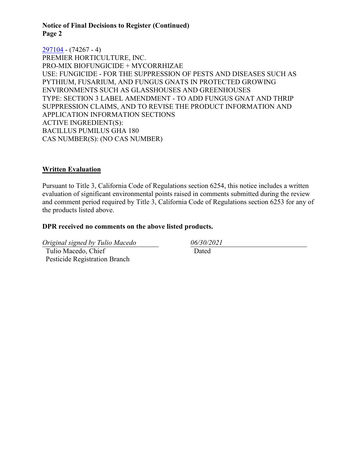**Notice of Final Decisions to Register (Continued) Page 2**

[297104](https://www.cdpr.ca.gov/docs/registration/nod/public_reports/297104.pdf) - (74267 - 4) PREMIER HORTICULTURE, INC. PRO-MIX BIOFUNGICIDE + MYCORRHIZAE USE: FUNGICIDE - FOR THE SUPPRESSION OF PESTS AND DISEASES SUCH AS PYTHIUM, FUSARIUM, AND FUNGUS GNATS IN PROTECTED GROWING ENVIRONMENTS SUCH AS GLASSHOUSES AND GREENHOUSES TYPE: SECTION 3 LABEL AMENDMENT - TO ADD FUNGUS GNAT AND THRIP SUPPRESSION CLAIMS, AND TO REVISE THE PRODUCT INFORMATION AND APPLICATION INFORMATION SECTIONS ACTIVE INGREDIENT(S): BACILLUS PUMILUS GHA 180 CAS NUMBER(S): (NO CAS NUMBER)

### **Written Evaluation**

Pursuant to Title 3, California Code of Regulations section 6254, this notice includes a written evaluation of significant environmental points raised in comments submitted during the review and comment period required by Title 3, California Code of Regulations section 6253 for any of the products listed above.

#### **DPR received no comments on the above listed products.**

*Original signed by Tulio Macedo 06/30/2021*

 Tulio Macedo, Chief Pesticide Registration Branch Dated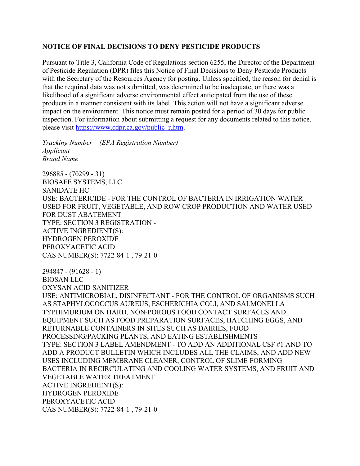## **NOTICE OF FINAL DECISIONS TO DENY PESTICIDE PRODUCTS**

Pursuant to Title 3, California Code of Regulations section 6255, the Director of the Department of Pesticide Regulation (DPR) files this Notice of Final Decisions to Deny Pesticide Products with the Secretary of the Resources Agency for posting. Unless specified, the reason for denial is that the required data was not submitted, was determined to be inadequate, or there was a likelihood of a significant adverse environmental effect anticipated from the use of these products in a manner consistent with its label. This action will not have a significant adverse impact on the environment. This notice must remain posted for a period of 30 days for public inspection. For information about submitting a request for any documents related to this notice, please visit [https://www.cdpr.ca.gov/public\\_r.htm.](https://www.cdpr.ca.gov/public_r.htm)

*Tracking Number – (EPA Registration Number) Applicant Brand Name*

296885 - (70299 - 31) BIOSAFE SYSTEMS, LLC SANIDATE HC USE: BACTERICIDE - FOR THE CONTROL OF BACTERIA IN IRRIGATION WATER USED FOR FRUIT, VEGETABLE, AND ROW CROP PRODUCTION AND WATER USED FOR DUST ABATEMENT TYPE: SECTION 3 REGISTRATION - ACTIVE INGREDIENT(S): HYDROGEN PEROXIDE PEROXYACETIC ACID CAS NUMBER(S): 7722-84-1 , 79-21-0

294847 - (91628 - 1) BIOSAN LLC OXYSAN ACID SANITIZER

USE: ANTIMICROBIAL, DISINFECTANT - FOR THE CONTROL OF ORGANISMS SUCH AS STAPHYLOCOCCUS AUREUS, ESCHERICHIA COLI, AND SALMONELLA TYPHIMURIUM ON HARD, NON-POROUS FOOD CONTACT SURFACES AND EQUIPMENT SUCH AS FOOD PREPARATION SURFACES, HATCHING EGGS, AND RETURNABLE CONTAINERS IN SITES SUCH AS DAIRIES, FOOD PROCESSING/PACKING PLANTS, AND EATING ESTABLISHMENTS TYPE: SECTION 3 LABEL AMENDMENT - TO ADD AN ADDITIONAL CSF #1 AND TO ADD A PRODUCT BULLETIN WHICH INCLUDES ALL THE CLAIMS, AND ADD NEW USES INCLUDING MEMBRANE CLEANER, CONTROL OF SLIME FORMING BACTERIA IN RECIRCULATING AND COOLING WATER SYSTEMS, AND FRUIT AND VEGETABLE WATER TREATMENT ACTIVE INGREDIENT(S): HYDROGEN PEROXIDE PEROXYACETIC ACID CAS NUMBER(S): 7722-84-1 , 79-21-0